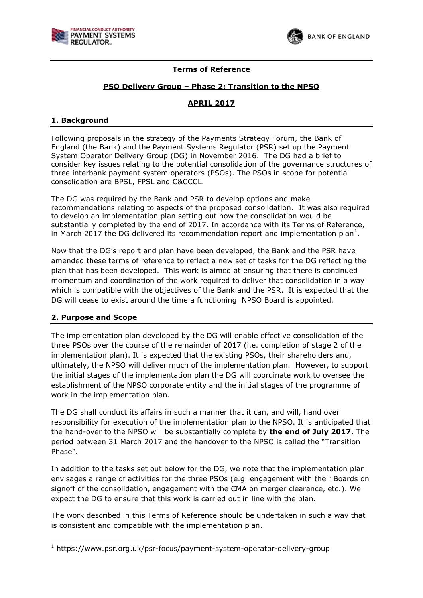



# **Terms of Reference**

## **PSO Delivery Group – Phase 2: Transition to the NPSO**

# **APRIL 2017**

### **1. Background**

Following proposals in the strategy of the Payments Strategy Forum, the Bank of England (the Bank) and the Payment Systems Regulator (PSR) set up the Payment System Operator Delivery Group (DG) in November 2016. The DG had a brief to consider key issues relating to the potential consolidation of the governance structures of three interbank payment system operators (PSOs). The PSOs in scope for potential consolidation are BPSL, FPSL and C&CCCL.

The DG was required by the Bank and PSR to develop options and make recommendations relating to aspects of the proposed consolidation. It was also required to develop an implementation plan setting out how the consolidation would be substantially completed by the end of 2017. In accordance with its Terms of Reference, in March 2017 the DG delivered its recommendation report and implementation plan<sup>1</sup>.

Now that the DG's report and plan have been developed, the Bank and the PSR have amended these terms of reference to reflect a new set of tasks for the DG reflecting the plan that has been developed. This work is aimed at ensuring that there is continued momentum and coordination of the work required to deliver that consolidation in a way which is compatible with the objectives of the Bank and the PSR. It is expected that the DG will cease to exist around the time a functioning NPSO Board is appointed.

## **2. Purpose and Scope**

-

The implementation plan developed by the DG will enable effective consolidation of the three PSOs over the course of the remainder of 2017 (i.e. completion of stage 2 of the implementation plan). It is expected that the existing PSOs, their shareholders and, ultimately, the NPSO will deliver much of the implementation plan. However, to support the initial stages of the implementation plan the DG will coordinate work to oversee the establishment of the NPSO corporate entity and the initial stages of the programme of work in the implementation plan.

The DG shall conduct its affairs in such a manner that it can, and will, hand over responsibility for execution of the implementation plan to the NPSO. It is anticipated that the hand-over to the NPSO will be substantially complete by **the end of July 2017**. The period between 31 March 2017 and the handover to the NPSO is called the "Transition Phase".

In addition to the tasks set out below for the DG, we note that the implementation plan envisages a range of activities for the three PSOs (e.g. engagement with their Boards on signoff of the consolidation, engagement with the CMA on merger clearance, etc.). We expect the DG to ensure that this work is carried out in line with the plan.

The work described in this Terms of Reference should be undertaken in such a way that is consistent and compatible with the implementation plan.

<sup>1</sup> https://www.psr.org.uk/psr-focus/payment-system-operator-delivery-group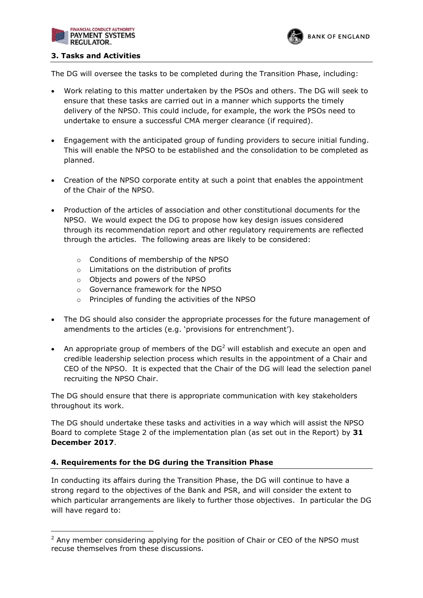



### **3. Tasks and Activities**

The DG will oversee the tasks to be completed during the Transition Phase, including:

- Work relating to this matter undertaken by the PSOs and others. The DG will seek to ensure that these tasks are carried out in a manner which supports the timely delivery of the NPSO. This could include, for example, the work the PSOs need to undertake to ensure a successful CMA merger clearance (if required).
- Engagement with the anticipated group of funding providers to secure initial funding. This will enable the NPSO to be established and the consolidation to be completed as planned.
- Creation of the NPSO corporate entity at such a point that enables the appointment of the Chair of the NPSO.
- Production of the articles of association and other constitutional documents for the NPSO. We would expect the DG to propose how key design issues considered through its recommendation report and other regulatory requirements are reflected through the articles. The following areas are likely to be considered:
	- o Conditions of membership of the NPSO
	- o Limitations on the distribution of profits
	- o Objects and powers of the NPSO
	- o Governance framework for the NPSO
	- o Principles of funding the activities of the NPSO
- The DG should also consider the appropriate processes for the future management of amendments to the articles (e.g. 'provisions for entrenchment').
- An appropriate group of members of the  $DG<sup>2</sup>$  will establish and execute an open and credible leadership selection process which results in the appointment of a Chair and CEO of the NPSO. It is expected that the Chair of the DG will lead the selection panel recruiting the NPSO Chair.

The DG should ensure that there is appropriate communication with key stakeholders throughout its work.

The DG should undertake these tasks and activities in a way which will assist the NPSO Board to complete Stage 2 of the implementation plan (as set out in the Report) by **31 December 2017**.

## **4. Requirements for the DG during the Transition Phase**

-

In conducting its affairs during the Transition Phase, the DG will continue to have a strong regard to the objectives of the Bank and PSR, and will consider the extent to which particular arrangements are likely to further those objectives. In particular the DG will have regard to:

 $2$  Any member considering applying for the position of Chair or CEO of the NPSO must recuse themselves from these discussions.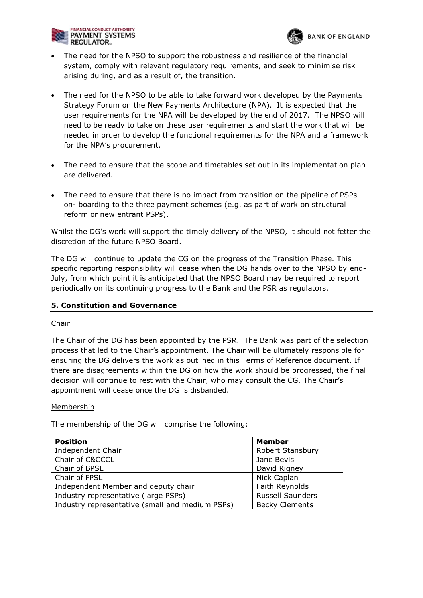

 The need for the NPSO to support the robustness and resilience of the financial system, comply with relevant regulatory requirements, and seek to minimise risk arising during, and as a result of, the transition.

**BANK OF ENGLAND** 

- The need for the NPSO to be able to take forward work developed by the Payments Strategy Forum on the New Payments Architecture (NPA). It is expected that the user requirements for the NPA will be developed by the end of 2017. The NPSO will need to be ready to take on these user requirements and start the work that will be needed in order to develop the functional requirements for the NPA and a framework for the NPA's procurement.
- The need to ensure that the scope and timetables set out in its implementation plan are delivered.
- The need to ensure that there is no impact from transition on the pipeline of PSPs on- boarding to the three payment schemes (e.g. as part of work on structural reform or new entrant PSPs).

Whilst the DG's work will support the timely delivery of the NPSO, it should not fetter the discretion of the future NPSO Board.

The DG will continue to update the CG on the progress of the Transition Phase. This specific reporting responsibility will cease when the DG hands over to the NPSO by end-July, from which point it is anticipated that the NPSO Board may be required to report periodically on its continuing progress to the Bank and the PSR as regulators.

## **5. Constitution and Governance**

## Chair

The Chair of the DG has been appointed by the PSR. The Bank was part of the selection process that led to the Chair's appointment. The Chair will be ultimately responsible for ensuring the DG delivers the work as outlined in this Terms of Reference document. If there are disagreements within the DG on how the work should be progressed, the final decision will continue to rest with the Chair, who may consult the CG. The Chair's appointment will cease once the DG is disbanded.

### **Membership**

The membership of the DG will comprise the following:

| <b>Position</b>                                 | <b>Member</b>           |
|-------------------------------------------------|-------------------------|
| Independent Chair                               | <b>Robert Stansbury</b> |
| Chair of C&CCCL                                 | Jane Bevis              |
| Chair of BPSL                                   | David Rigney            |
| Chair of FPSL                                   | Nick Caplan             |
| Independent Member and deputy chair             | Faith Reynolds          |
| Industry representative (large PSPs)            | <b>Russell Saunders</b> |
| Industry representative (small and medium PSPs) | <b>Becky Clements</b>   |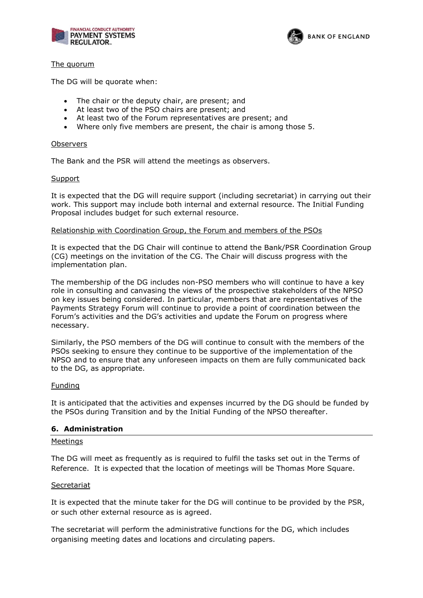



### The quorum

The DG will be quorate when:

- The chair or the deputy chair, are present; and
- At least two of the PSO chairs are present; and
- At least two of the Forum representatives are present; and
- Where only five members are present, the chair is among those 5.

#### **Observers**

The Bank and the PSR will attend the meetings as observers.

#### Support

It is expected that the DG will require support (including secretariat) in carrying out their work. This support may include both internal and external resource. The Initial Funding Proposal includes budget for such external resource.

#### Relationship with Coordination Group, the Forum and members of the PSOs

It is expected that the DG Chair will continue to attend the Bank/PSR Coordination Group (CG) meetings on the invitation of the CG. The Chair will discuss progress with the implementation plan.

The membership of the DG includes non-PSO members who will continue to have a key role in consulting and canvasing the views of the prospective stakeholders of the NPSO on key issues being considered. In particular, members that are representatives of the Payments Strategy Forum will continue to provide a point of coordination between the Forum's activities and the DG's activities and update the Forum on progress where necessary.

Similarly, the PSO members of the DG will continue to consult with the members of the PSOs seeking to ensure they continue to be supportive of the implementation of the NPSO and to ensure that any unforeseen impacts on them are fully communicated back to the DG, as appropriate.

### Funding

It is anticipated that the activities and expenses incurred by the DG should be funded by the PSOs during Transition and by the Initial Funding of the NPSO thereafter.

### **6. Administration**

#### Meetings

The DG will meet as frequently as is required to fulfil the tasks set out in the Terms of Reference. It is expected that the location of meetings will be Thomas More Square.

### Secretariat

It is expected that the minute taker for the DG will continue to be provided by the PSR, or such other external resource as is agreed.

The secretariat will perform the administrative functions for the DG, which includes organising meeting dates and locations and circulating papers.